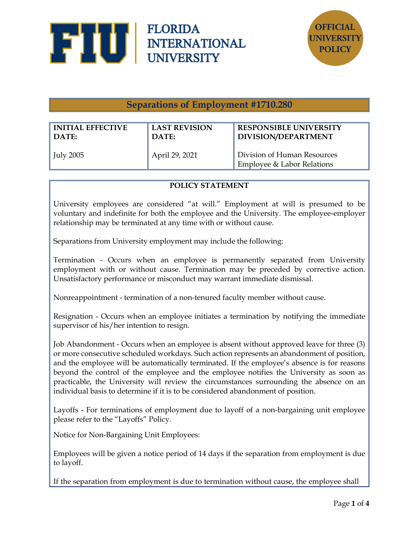



**Separations of Employment #1710.280**

| <b>INITIAL EFFECTIVE</b> | <b>LAST REVISION</b> | <b>RESPONSIBLE UNIVERSITY</b>                             |
|--------------------------|----------------------|-----------------------------------------------------------|
| DATE:                    | DATE:                | <b>DIVISION/DEPARTMENT</b>                                |
| $\vert$ July 2005        | April 29, 2021       | Division of Human Resources<br>Employee & Labor Relations |

## **POLICY STATEMENT**

University employees are considered "at will." Employment at will is presumed to be voluntary and indefinite for both the employee and the University. The employee-employer relationship may be terminated at any time with or without cause.

Separations from University employment may include the following:

Termination - Occurs when an employee is permanently separated from University employment with or without cause. Termination may be preceded by corrective action. Unsatisfactory performance or misconduct may warrant immediate dismissal.

Nonreappointment - termination of a non-tenured faculty member without cause.

Resignation - Occurs when an employee initiates a termination by notifying the immediate supervisor of his/her intention to resign.

Job Abandonment - Occurs when an employee is absent without approved leave for three (3) or more consecutive scheduled workdays. Such action represents an abandonment of position, and the employee will be automatically terminated. If the employee's absence is for reasons beyond the control of the employee and the employee notifies the University as soon as practicable, the University will review the circumstances surrounding the absence on an individual basis to determine if it is to be considered abandonment of position.

Layoffs - For terminations of employment due to layoff of a non-bargaining unit employee please refer to the "Layoffs" Policy.

Notice for Non-Bargaining Unit Employees:

Employees will be given a notice period of 14 days if the separation from employment is due to layoff.

If the separation from employment is due to termination without cause, the employee shall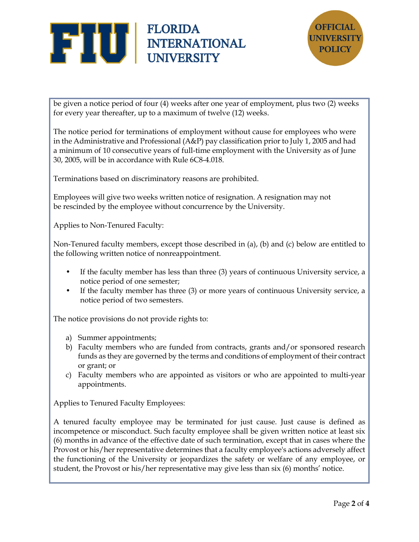



be given a notice period of four (4) weeks after one year of employment, plus two (2) weeks for every year thereafter, up to a maximum of twelve (12) weeks.

The notice period for terminations of employment without cause for employees who were in the Administrative and Professional (A&P) pay classification prior to July 1, 2005 and had a minimum of 10 consecutive years of full-time employment with the University as of June 30, 2005, will be in accordance with Rule 6C8-4.018.

Terminations based on discriminatory reasons are prohibited.

Employees will give two weeks written notice of resignation. A resignation may not be rescinded by the employee without concurrence by the University.

Applies to Non-Tenured Faculty:

Non-Tenured faculty members, except those described in (a), (b) and (c) below are entitled to the following written notice of nonreappointment.

- If the faculty member has less than three (3) years of continuous University service, a notice period of one semester;
- If the faculty member has three (3) or more years of continuous University service, a notice period of two semesters.

The notice provisions do not provide rights to:

- a) Summer appointments;
- b) Faculty members who are funded from contracts, grants and/or sponsored research funds as they are governed by the terms and conditions of employment of their contract or grant; or
- c) Faculty members who are appointed as visitors or who are appointed to multi-year appointments.

Applies to Tenured Faculty Employees:

A tenured faculty employee may be terminated for just cause. Just cause is defined as incompetence or misconduct. Such faculty employee shall be given written notice at least six (6) months in advance of the effective date of such termination, except that in cases where the Provost or his/her representative determines that a faculty employee's actions adversely affect the functioning of the University or jeopardizes the safety or welfare of any employee, or student, the Provost or his/her representative may give less than six (6) months' notice.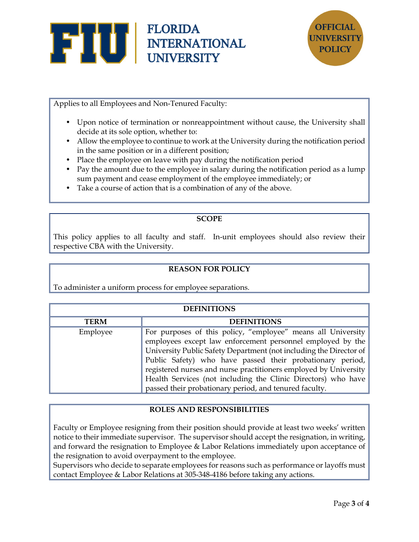



Applies to all Employees and Non-Tenured Faculty:

- Upon notice of termination or nonreappointment without cause, the University shall decide at its sole option, whether to:
- Allow the employee to continue to work at the University during the notification period in the same position or in a different position;
- Place the employee on leave with pay during the notification period
- Pay the amount due to the employee in salary during the notification period as a lump sum payment and cease employment of the employee immediately; or
- Take a course of action that is a combination of any of the above.

## **SCOPE**

This policy applies to all faculty and staff. In-unit employees should also review their respective CBA with the University.

# **REASON FOR POLICY**

To administer a uniform process for employee separations.

| <b>DEFINITIONS</b> |                                                                                                                                                                                                                                                                                                                                                                                                                                                              |  |
|--------------------|--------------------------------------------------------------------------------------------------------------------------------------------------------------------------------------------------------------------------------------------------------------------------------------------------------------------------------------------------------------------------------------------------------------------------------------------------------------|--|
| <b>TERM</b>        | <b>DEFINITIONS</b>                                                                                                                                                                                                                                                                                                                                                                                                                                           |  |
| Employee           | For purposes of this policy, "employee" means all University<br>employees except law enforcement personnel employed by the<br>University Public Safety Department (not including the Director of<br>Public Safety) who have passed their probationary period,<br>registered nurses and nurse practitioners employed by University<br>Health Services (not including the Clinic Directors) who have<br>passed their probationary period, and tenured faculty. |  |

#### **ROLES AND RESPONSIBILITIES**

Faculty or Employee resigning from their position should provide at least two weeks' written notice to their immediate supervisor. The supervisor should accept the resignation, in writing, and forward the resignation to Employee & Labor Relations immediately upon acceptance of the resignation to avoid overpayment to the employee.

Supervisors who decide to separate employees for reasons such as performance or layoffs must contact Employee & Labor Relations at 305-348-4186 before taking any actions.